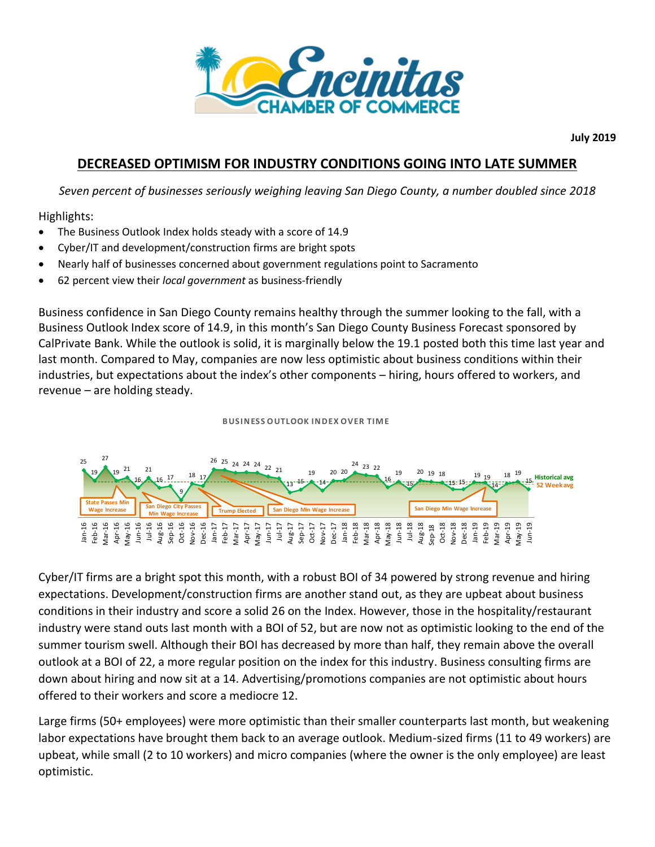

**July 2019**

## **DECREASED OPTIMISM FOR INDUSTRY CONDITIONS GOING INTO LATE SUMMER**

*Seven percent of businesses seriously weighing leaving San Diego County, a number doubled since 2018*

Highlights:

- The Business Outlook Index holds steady with a score of 14.9
- Cyber/IT and development/construction firms are bright spots
- Nearly half of businesses concerned about government regulations point to Sacramento
- 62 percent view their *local government* as business-friendly

Business confidence in San Diego County remains healthy through the summer looking to the fall, with a Business Outlook Index score of 14.9, in this month's San Diego County Business Forecast sponsored by CalPrivate Bank. While the outlook is solid, it is marginally below the 19.1 posted both this time last year and last month. Compared to May, companies are now less optimistic about business conditions within their industries, but expectations about the index's other components — hiring, hours offered to workers, and revenue — are ho industries, but expectations about the index's other components – hiring, hours offered to workers, and revenue – are holding steady.



Cyber/IT firms are a bright spot this month, with a robust BOI of 34 powered by strong revenue and hiring expectations. Development/construction firms are another stand out, as they are upbeat about business conditions in their industry and score a solid 26 on the Index. However, those in the hospitality/restaurant industry were stand outs last month with a BOI of 52, but are now not as optimistic looking to the end of the summer tourism swell. Although their BOI has decreased by more than half, they remain above the overall outlook at a BOI of 22, a more regular position on the index for this industry. Business consulting firms are down about hiring and now sit at a 14. Advertising/promotions companies are not optimistic about hours offered to their workers and score a mediocre 12.

Large firms (50+ employees) were more optimistic than their smaller counterparts last month, but weakening labor expectations have brought them back to an average outlook. Medium-sized firms (11 to 49 workers) are upbeat, while small (2 to 10 workers) and micro companies (where the owner is the only employee) are least optimistic.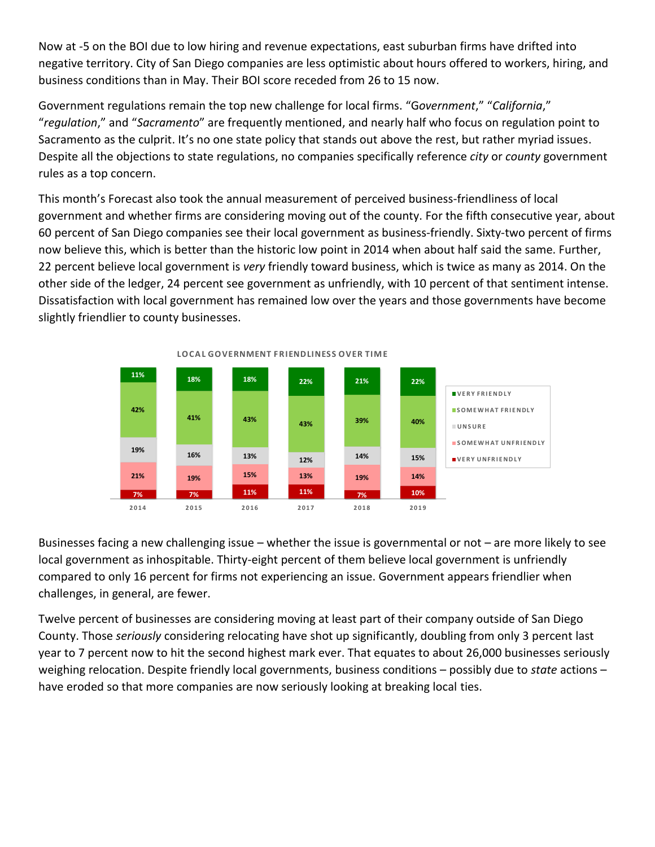Now at -5 on the BOI due to low hiring and revenue expectations, east suburban firms have drifted into negative territory. City of San Diego companies are less optimistic about hours offered to workers, hiring, and business conditions than in May. Their BOI score receded from 26 to 15 now.

Government regulations remain the top new challenge for local firms. "G*overnment*," "*California*," "*regulation*," and "*Sacramento*" are frequently mentioned, and nearly half who focus on regulation point to Sacramento as the culprit. It's no one state policy that stands out above the rest, but rather myriad issues. Despite all the objections to state regulations, no companies specifically reference *city* or *county* government rules as a top concern.

This month's Forecast also took the annual measurement of perceived business-friendliness of local government and whether firms are considering moving out of the county. For the fifth consecutive year, about 60 percent of San Diego companies see their local government as business-friendly. Sixty-two percent of firms now believe this, which is better than the historic low point in 2014 when about half said the same. Further, 22 percent believe local government is *very* friendly toward business, which is twice as many as 2014. On the other side of the ledger, 24 percent see government as unfriendly, with 10 percent of that sentiment intense. Dissatisfaction with local government has remained low over the years and those governments have become<br>slightly friendlier to county businesses.<br>LOCAL GOVERNMENT FRIENDLINESS OVER TIME slightly friendlier to county businesses.



Businesses facing a new challenging issue – whether the issue is governmental or not – are more likely to see local government as inhospitable. Thirty-eight percent of them believe local government is unfriendly compared to only 16 percent for firms not experiencing an issue. Government appears friendlier when challenges, in general, are fewer.

Twelve percent of businesses are considering moving at least part of their company outside of San Diego County. Those *seriously* considering relocating have shot up significantly, doubling from only 3 percent last year to 7 percent now to hit the second highest mark ever. That equates to about 26,000 businesses seriously weighing relocation. Despite friendly local governments, business conditions – possibly due to *state* actions – have eroded so that more companies are now seriously looking at breaking local ties.